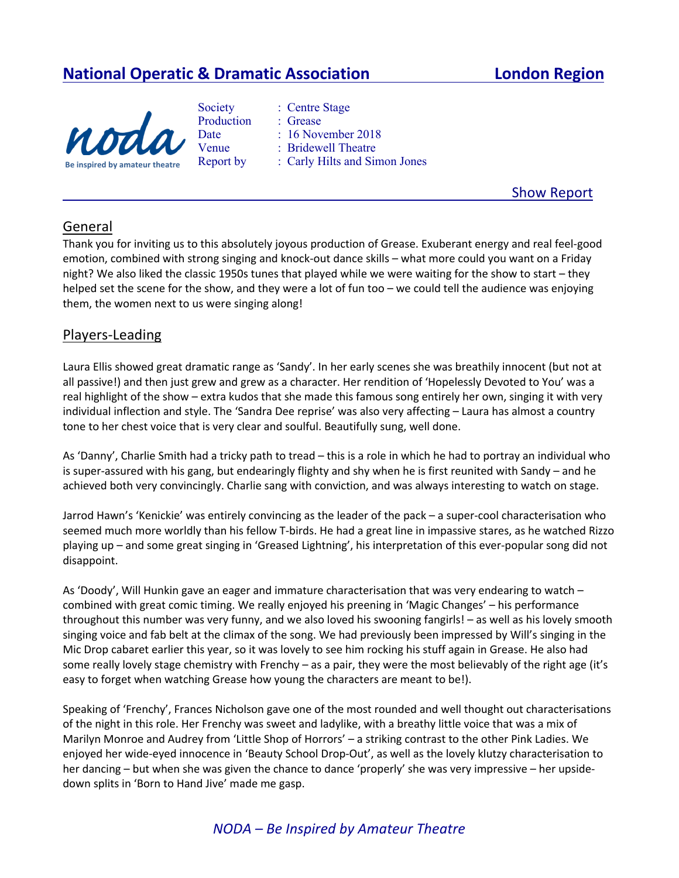# **National Operatic & Dramatic Association London Region**





Report by : Carly Hilts and Simon Jones

Show Report

## General

Thank you for inviting us to this absolutely joyous production of Grease. Exuberant energy and real feel-good emotion, combined with strong singing and knock-out dance skills – what more could you want on a Friday night? We also liked the classic 1950s tunes that played while we were waiting for the show to start – they helped set the scene for the show, and they were a lot of fun too – we could tell the audience was enjoying them, the women next to us were singing along!

#### Players-Leading

Laura Ellis showed great dramatic range as 'Sandy'. In her early scenes she was breathily innocent (but not at all passive!) and then just grew and grew as a character. Her rendition of 'Hopelessly Devoted to You' was a real highlight of the show – extra kudos that she made this famous song entirely her own, singing it with very individual inflection and style. The 'Sandra Dee reprise' was also very affecting – Laura has almost a country tone to her chest voice that is very clear and soulful. Beautifully sung, well done.

As 'Danny', Charlie Smith had a tricky path to tread – this is a role in which he had to portray an individual who is super-assured with his gang, but endearingly flighty and shy when he is first reunited with Sandy – and he achieved both very convincingly. Charlie sang with conviction, and was always interesting to watch on stage.

Jarrod Hawn's 'Kenickie' was entirely convincing as the leader of the pack – a super-cool characterisation who seemed much more worldly than his fellow T-birds. He had a great line in impassive stares, as he watched Rizzo playing up – and some great singing in 'Greased Lightning', his interpretation of this ever-popular song did not disappoint.

As 'Doody', Will Hunkin gave an eager and immature characterisation that was very endearing to watch – combined with great comic timing. We really enjoyed his preening in 'Magic Changes' – his performance throughout this number was very funny, and we also loved his swooning fangirls! – as well as his lovely smooth singing voice and fab belt at the climax of the song. We had previously been impressed by Will's singing in the Mic Drop cabaret earlier this year, so it was lovely to see him rocking his stuff again in Grease. He also had some really lovely stage chemistry with Frenchy – as a pair, they were the most believably of the right age (it's easy to forget when watching Grease how young the characters are meant to be!).

Speaking of 'Frenchy', Frances Nicholson gave one of the most rounded and well thought out characterisations of the night in this role. Her Frenchy was sweet and ladylike, with a breathy little voice that was a mix of Marilyn Monroe and Audrey from 'Little Shop of Horrors' – a striking contrast to the other Pink Ladies. We enjoyed her wide-eyed innocence in 'Beauty School Drop-Out', as well as the lovely klutzy characterisation to her dancing – but when she was given the chance to dance 'properly' she was very impressive – her upsidedown splits in 'Born to Hand Jive' made me gasp.

## *NODA – Be Inspired by Amateur Theatre*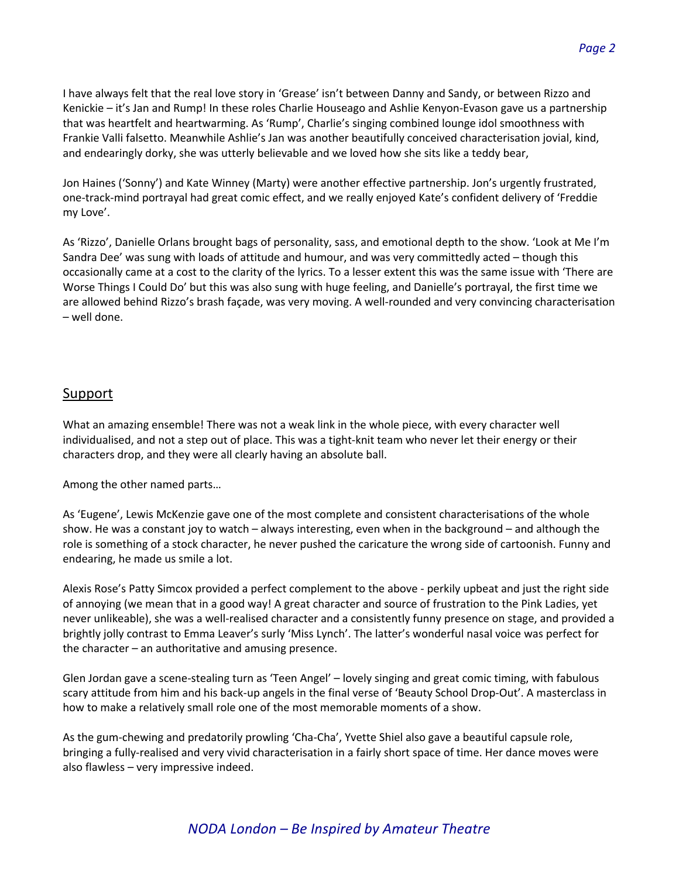I have always felt that the real love story in 'Grease' isn't between Danny and Sandy, or between Rizzo and Kenickie – it's Jan and Rump! In these roles Charlie Houseago and Ashlie Kenyon-Evason gave us a partnership that was heartfelt and heartwarming. As 'Rump', Charlie's singing combined lounge idol smoothness with Frankie Valli falsetto. Meanwhile Ashlie's Jan was another beautifully conceived characterisation jovial, kind, and endearingly dorky, she was utterly believable and we loved how she sits like a teddy bear,

Jon Haines ('Sonny') and Kate Winney (Marty) were another effective partnership. Jon's urgently frustrated, one-track-mind portrayal had great comic effect, and we really enjoyed Kate's confident delivery of 'Freddie my Love'.

As 'Rizzo', Danielle Orlans brought bags of personality, sass, and emotional depth to the show. 'Look at Me I'm Sandra Dee' was sung with loads of attitude and humour, and was very committedly acted – though this occasionally came at a cost to the clarity of the lyrics. To a lesser extent this was the same issue with 'There are Worse Things I Could Do' but this was also sung with huge feeling, and Danielle's portrayal, the first time we are allowed behind Rizzo's brash façade, was very moving. A well-rounded and very convincing characterisation – well done.

#### Support

What an amazing ensemble! There was not a weak link in the whole piece, with every character well individualised, and not a step out of place. This was a tight-knit team who never let their energy or their characters drop, and they were all clearly having an absolute ball.

Among the other named parts…

As 'Eugene', Lewis McKenzie gave one of the most complete and consistent characterisations of the whole show. He was a constant joy to watch – always interesting, even when in the background – and although the role is something of a stock character, he never pushed the caricature the wrong side of cartoonish. Funny and endearing, he made us smile a lot.

Alexis Rose's Patty Simcox provided a perfect complement to the above - perkily upbeat and just the right side of annoying (we mean that in a good way! A great character and source of frustration to the Pink Ladies, yet never unlikeable), she was a well-realised character and a consistently funny presence on stage, and provided a brightly jolly contrast to Emma Leaver's surly 'Miss Lynch'. The latter's wonderful nasal voice was perfect for the character – an authoritative and amusing presence.

Glen Jordan gave a scene-stealing turn as 'Teen Angel' – lovely singing and great comic timing, with fabulous scary attitude from him and his back-up angels in the final verse of 'Beauty School Drop-Out'. A masterclass in how to make a relatively small role one of the most memorable moments of a show.

As the gum-chewing and predatorily prowling 'Cha-Cha', Yvette Shiel also gave a beautiful capsule role, bringing a fully-realised and very vivid characterisation in a fairly short space of time. Her dance moves were also flawless – very impressive indeed.

## *NODA London – Be Inspired by Amateur Theatre*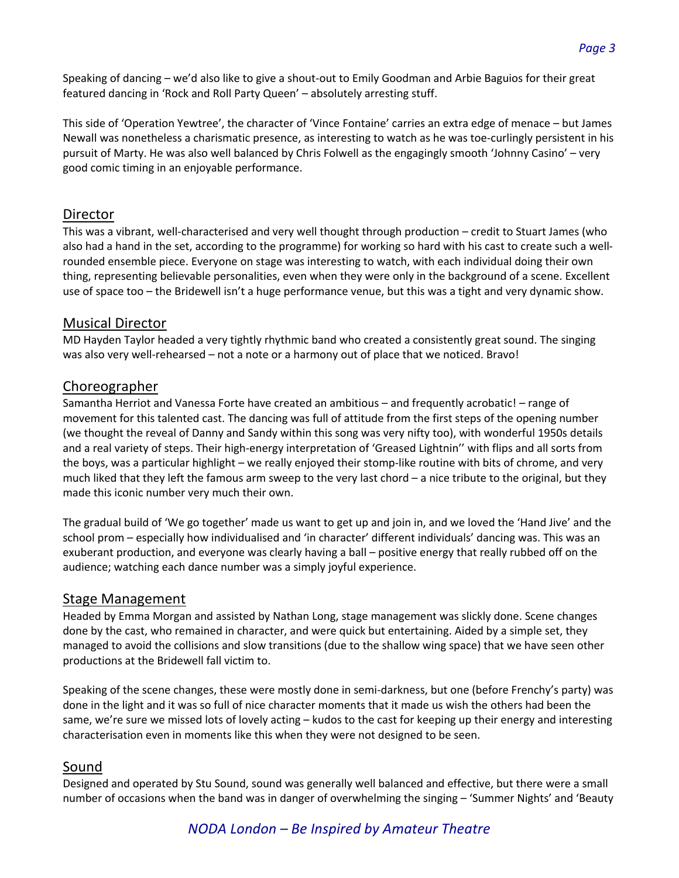Speaking of dancing – we'd also like to give a shout-out to Emily Goodman and Arbie Baguios for their great featured dancing in 'Rock and Roll Party Queen' – absolutely arresting stuff.

This side of 'Operation Yewtree', the character of 'Vince Fontaine' carries an extra edge of menace – but James Newall was nonetheless a charismatic presence, as interesting to watch as he was toe-curlingly persistent in his pursuit of Marty. He was also well balanced by Chris Folwell as the engagingly smooth 'Johnny Casino' – very good comic timing in an enjoyable performance.

#### Director

This was a vibrant, well-characterised and very well thought through production – credit to Stuart James (who also had a hand in the set, according to the programme) for working so hard with his cast to create such a wellrounded ensemble piece. Everyone on stage was interesting to watch, with each individual doing their own thing, representing believable personalities, even when they were only in the background of a scene. Excellent use of space too – the Bridewell isn't a huge performance venue, but this was a tight and very dynamic show.

#### Musical Director

MD Hayden Taylor headed a very tightly rhythmic band who created a consistently great sound. The singing was also very well-rehearsed – not a note or a harmony out of place that we noticed. Bravo!

#### Choreographer

Samantha Herriot and Vanessa Forte have created an ambitious – and frequently acrobatic! – range of movement for this talented cast. The dancing was full of attitude from the first steps of the opening number (we thought the reveal of Danny and Sandy within this song was very nifty too), with wonderful 1950s details and a real variety of steps. Their high-energy interpretation of 'Greased Lightnin'' with flips and all sorts from the boys, was a particular highlight – we really enjoyed their stomp-like routine with bits of chrome, and very much liked that they left the famous arm sweep to the very last chord – a nice tribute to the original, but they made this iconic number very much their own.

The gradual build of 'We go together' made us want to get up and join in, and we loved the 'Hand Jive' and the school prom – especially how individualised and 'in character' different individuals' dancing was. This was an exuberant production, and everyone was clearly having a ball – positive energy that really rubbed off on the audience; watching each dance number was a simply joyful experience.

## Stage Management

Headed by Emma Morgan and assisted by Nathan Long, stage management was slickly done. Scene changes done by the cast, who remained in character, and were quick but entertaining. Aided by a simple set, they managed to avoid the collisions and slow transitions (due to the shallow wing space) that we have seen other productions at the Bridewell fall victim to.

Speaking of the scene changes, these were mostly done in semi-darkness, but one (before Frenchy's party) was done in the light and it was so full of nice character moments that it made us wish the others had been the same, we're sure we missed lots of lovely acting – kudos to the cast for keeping up their energy and interesting characterisation even in moments like this when they were not designed to be seen.

## Sound

Designed and operated by Stu Sound, sound was generally well balanced and effective, but there were a small number of occasions when the band was in danger of overwhelming the singing – 'Summer Nights' and 'Beauty